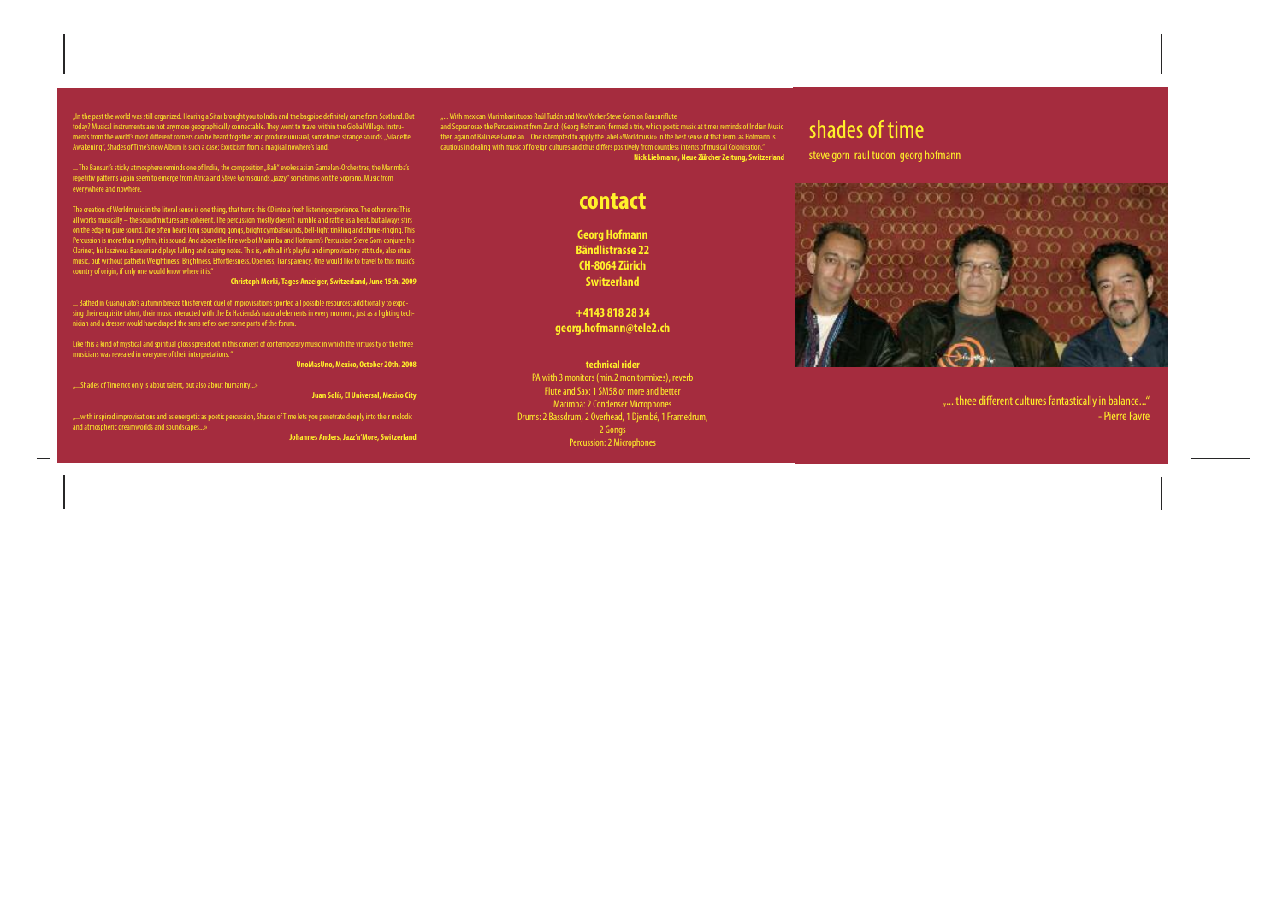"In the past the world was still organized. Hearing a Sitar brought you to India and the bagpipe definitely came from Scotland. But<br>today? Musical instruments are not anymore geographically connectable. They went to travel Awakening", Shades of Time's new Album is such a case: Exoticism from a magical nowhere's land.

... The Bansuri's sticky atmosphere reminds one of India, the composition "Bali" evokes asian Gamelan-Orchestras, the Marimba's<br>repetitiv patterns again seem to emerge from Africa and Steve Gorn sounds "jazzy" sometimes on everywhere and nowhere.

The creation of Worldmusic in the literal sense is one thing, that turns this CD into a fresh listening experience. The other one: This all works musically – the soundmixtures are coherent. The percussion mostly doesn't rumble and rattle as a beat, but always stirs<br>on the edge to pure sound. One often hears long sounding gongs, bright cymbalsounds, bell-li Clarinet, his laszivous Bansuri and plays lulling and dazing notes. This is, with all it's playful and improvisatory attitude, also ritual<br>music, but without pathetic Weightiness: Brightness, Effortlessness, Openess, Trans

Christoph Merki, Tages-Anzeiger, Switzerland, June 15th, 2009

... Bathed in Guanajuato's autumn breeze this fervent duel of improvisations sported all possible resources: additionally to exposing their exquisite talent, their music interacted with the Ex Hacienda's natural elements i nician and a dresser would have draped the sun's reflex over some parts of the forum.

Like this a kind of mystical and spiritual gloss spread out in this concert of contemporary music in which the virtuosity of the three musicians was revealed in everyone of their interpretations."

UnoMasUno, Mexico, October 20th, 2008

.....Shades of Time not only is about talent, but also about humanity...»

Juan Solís, El Universal, Mexico City

"...with inspired improvisations and as energetic as poetic percussion, Shades of Time lets you penetrate deeply into their melodic and atmospheric dreamworlds and soundscapes...»

Johannes Anders, Jazz'n'More, Switzerland

"... With mexican Marimbavirtuoso Raúl Tudón and New Yorker Steve Gorn on Bansuriflute<br>and Sopranosax the Percussionist from Zurich (Georg Hofmann) formed a trio, which poetic music at times reminds of Indian Music<br>then ag cautious in dealing with music of foreign cultures and thus differs positively from countless intents of musical Colonisation." Nick Liebmann, Neue Zurcher Zeitung, Switzerland

contact

**Georg Hofmann Bändlistrasse 22** CH-8064 Zürich Switzerland

+4143 818 28 34 georg.hofmann@tele2.ch

technical rider PA with 3 monitors (min.2 monitormixes), reverb Flute and Sax: 1 SM58 or more and better Marimba: 2 Condenser Microphones Drums: 2 Bassdrum, 2 Overhead, 1 Djembé, 1 Framedrum, 2 Gongs Percussion: 2 Microphones



"... three different cultures fantastically in balance..." - Pierre Favre